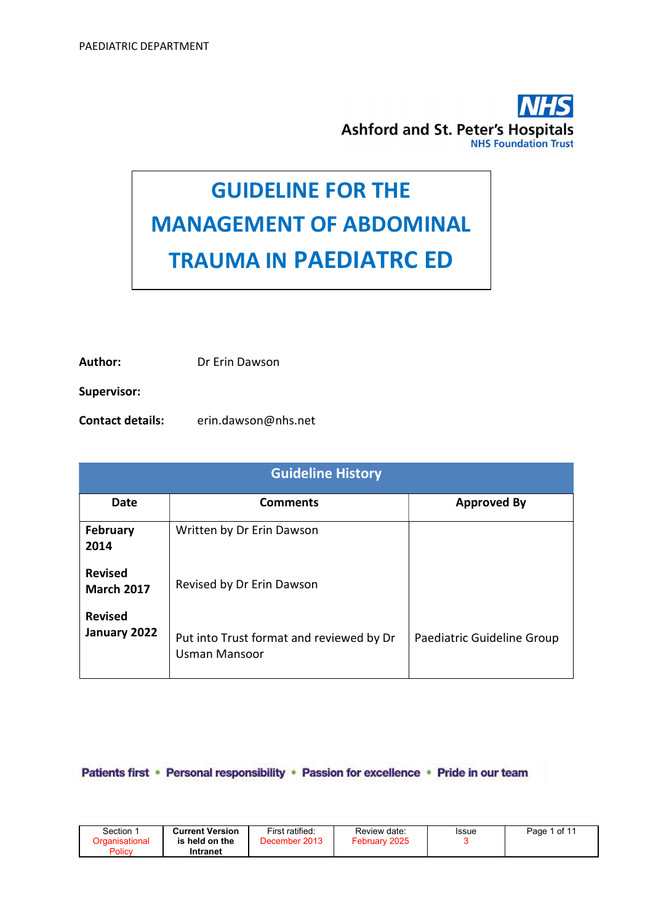

# GUIDELINE FOR THE MANAGEMENT OF ABDOMINAL TRAUMA IN PAEDIATRC ED

Author: Dr Erin Dawson

Supervisor:

Contact details: erin.dawson@nhs.net

| <b>Guideline History</b>            |                                                                  |                            |  |  |  |
|-------------------------------------|------------------------------------------------------------------|----------------------------|--|--|--|
| Date                                | <b>Comments</b>                                                  | <b>Approved By</b>         |  |  |  |
| <b>February</b><br>2014             | Written by Dr Erin Dawson                                        |                            |  |  |  |
| <b>Revised</b><br><b>March 2017</b> | Revised by Dr Erin Dawson                                        |                            |  |  |  |
| <b>Revised</b><br>January 2022      | Put into Trust format and reviewed by Dr<br><b>Usman Mansoor</b> | Paediatric Guideline Group |  |  |  |

Patients first • Personal responsibility • Passion for excellence • Pride in our team

| Section 1<br><u>Droanisational</u><br>Policy | <b>Current Version</b><br>is held on the<br>Intranet | First ratified:<br>December 2013 | Review date:<br>February 2025 | Issue | l of 11<br>Page |
|----------------------------------------------|------------------------------------------------------|----------------------------------|-------------------------------|-------|-----------------|
|----------------------------------------------|------------------------------------------------------|----------------------------------|-------------------------------|-------|-----------------|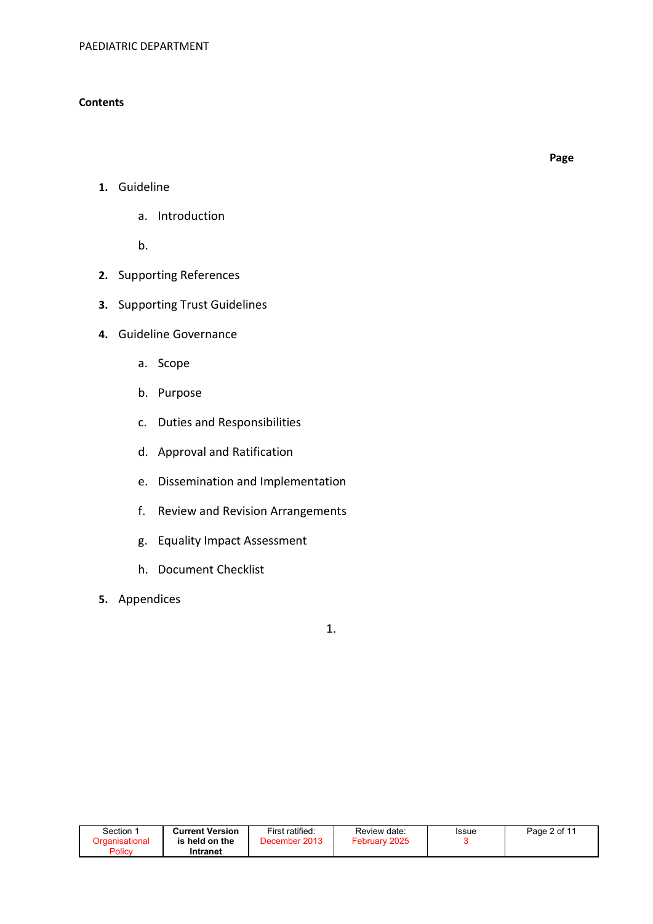#### **Contents**

Page

- 1. Guideline
	- a. Introduction

b.

- 2. Supporting References
- 3. Supporting Trust Guidelines
- 4. Guideline Governance
	- a. Scope
	- b. Purpose
	- c. Duties and Responsibilities
	- d. Approval and Ratification
	- e. Dissemination and Implementation
	- f. Review and Revision Arrangements
	- g. Equality Impact Assessment
	- h. Document Checklist
- 5. Appendices

1.

| Section               | <b>Current Version</b> | First ratified: | Review date:  | Issue | Page 2 of 11 |
|-----------------------|------------------------|-----------------|---------------|-------|--------------|
| <b>Organisational</b> | is held on the         | December 2013   | February 2025 |       |              |
| Policy                | Intranet               |                 |               |       |              |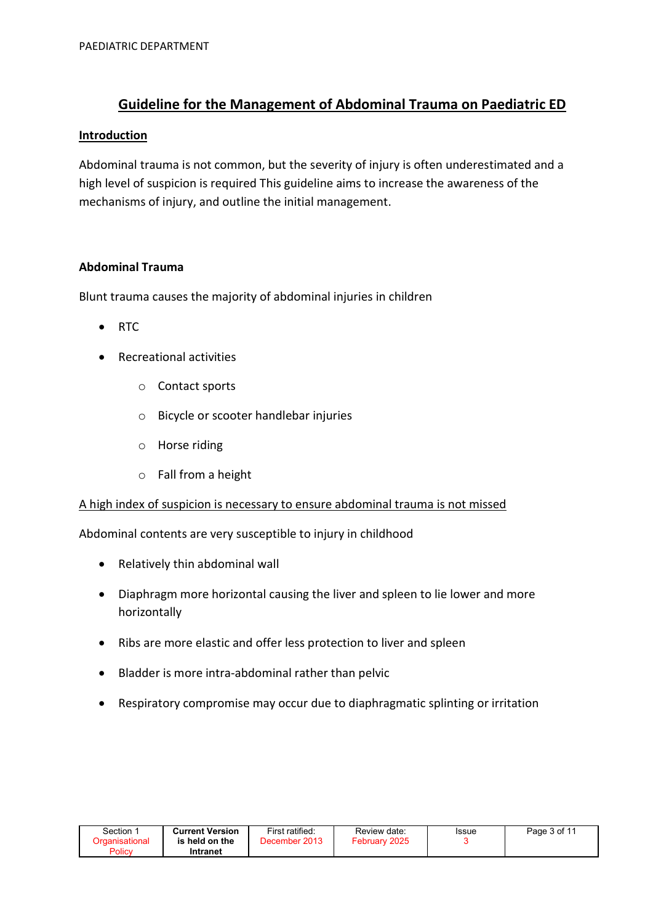# Guideline for the Management of Abdominal Trauma on Paediatric ED

#### **Introduction**

Abdominal trauma is not common, but the severity of injury is often underestimated and a high level of suspicion is required This guideline aims to increase the awareness of the mechanisms of injury, and outline the initial management.

#### Abdominal Trauma

Blunt trauma causes the majority of abdominal injuries in children

- $\bullet$  RTC
- Recreational activities
	- o Contact sports
	- o Bicycle or scooter handlebar injuries
	- o Horse riding
	- o Fall from a height

#### A high index of suspicion is necessary to ensure abdominal trauma is not missed

Abdominal contents are very susceptible to injury in childhood

- Relatively thin abdominal wall
- Diaphragm more horizontal causing the liver and spleen to lie lower and more horizontally
- Ribs are more elastic and offer less protection to liver and spleen
- Bladder is more intra-abdominal rather than pelvic
- Respiratory compromise may occur due to diaphragmatic splinting or irritation

| Section∵ | <b>Current Version</b> | First ratified: | Review date:  | Issue | Page 3 of 11 |
|----------|------------------------|-----------------|---------------|-------|--------------|
|          | is held on the         | December 2013   | February 2025 |       |              |
| Policy   | Intranet               |                 |               |       |              |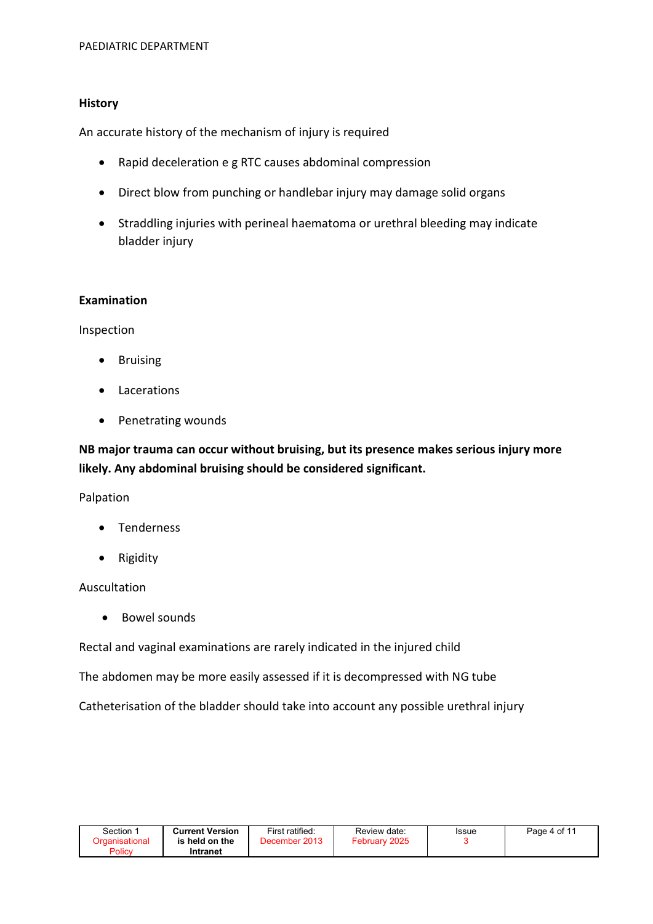#### **History**

An accurate history of the mechanism of injury is required

- Rapid deceleration e g RTC causes abdominal compression
- Direct blow from punching or handlebar injury may damage solid organs
- Straddling injuries with perineal haematoma or urethral bleeding may indicate bladder injury

#### Examination

Inspection

- Bruising
- Lacerations
- Penetrating wounds

NB major trauma can occur without bruising, but its presence makes serious injury more likely. Any abdominal bruising should be considered significant.

Palpation

- Tenderness
- Rigidity

#### Auscultation

Bowel sounds

Rectal and vaginal examinations are rarely indicated in the injured child

The abdomen may be more easily assessed if it is decompressed with NG tube

Catheterisation of the bladder should take into account any possible urethral injury

| Section                  | <b>Current Version</b>     | First ratified: | Review date:  | Issue | Page 4 of 11 |
|--------------------------|----------------------------|-----------------|---------------|-------|--------------|
| Organisational<br>Policy | is held on the<br>Intranet | December 2013   | February 2025 |       |              |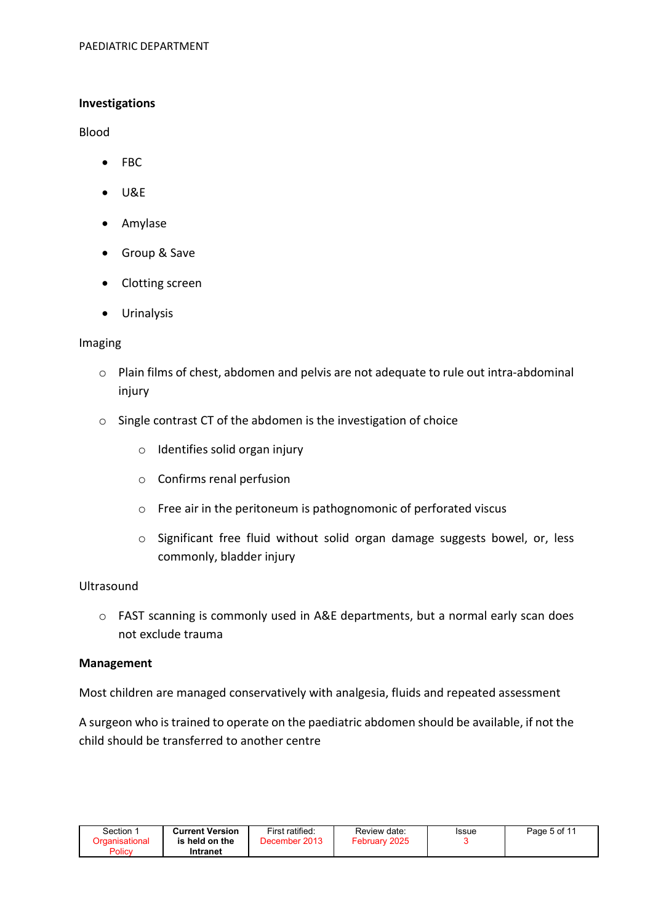#### Investigations

Blood

- FBC
- $\bullet$  U&E
- Amylase
- Group & Save
- Clotting screen
- Urinalysis

#### Imaging

- o Plain films of chest, abdomen and pelvis are not adequate to rule out intra-abdominal injury
- o Single contrast CT of the abdomen is the investigation of choice
	- o Identifies solid organ injury
	- o Confirms renal perfusion
	- o Free air in the peritoneum is pathognomonic of perforated viscus
	- o Significant free fluid without solid organ damage suggests bowel, or, less commonly, bladder injury

## **Ultrasound**

o FAST scanning is commonly used in A&E departments, but a normal early scan does not exclude trauma

#### Management

Most children are managed conservatively with analgesia, fluids and repeated assessment

A surgeon who is trained to operate on the paediatric abdomen should be available, if not the child should be transferred to another centre

| Section<br>Policy | <b>Current Version</b><br>is held on the<br>Intranet | First ratified:<br>December 2013 | Review date:<br>February 2025 | <b>Issue</b> | Page 5 of 11 |
|-------------------|------------------------------------------------------|----------------------------------|-------------------------------|--------------|--------------|
|-------------------|------------------------------------------------------|----------------------------------|-------------------------------|--------------|--------------|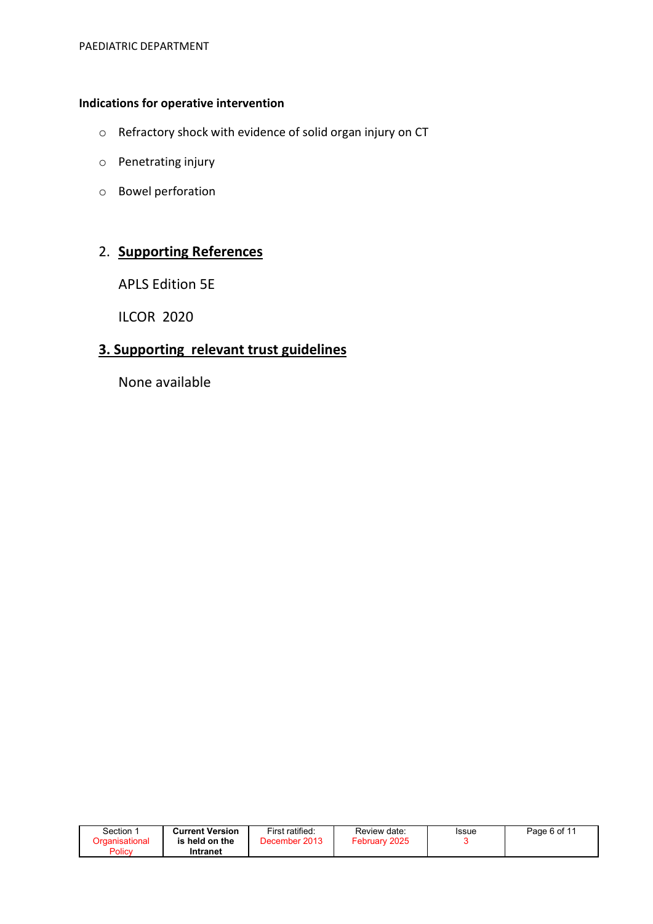## Indications for operative intervention

- o Refractory shock with evidence of solid organ injury on CT
- o Penetrating injury
- o Bowel perforation

# 2. Supporting References

APLS Edition 5E

ILCOR 2020

# 3. Supporting relevant trust guidelines

None available

| Section $\, \dot{} \,$ | <b>Current Version</b> | First ratified:  | Review date:     | Issue | Page 6 of 11 |
|------------------------|------------------------|------------------|------------------|-------|--------------|
| Drɑanisational         | is held on the         | 2013<br>December | 2025<br>February |       |              |
| Policy                 | Intranet               |                  |                  |       |              |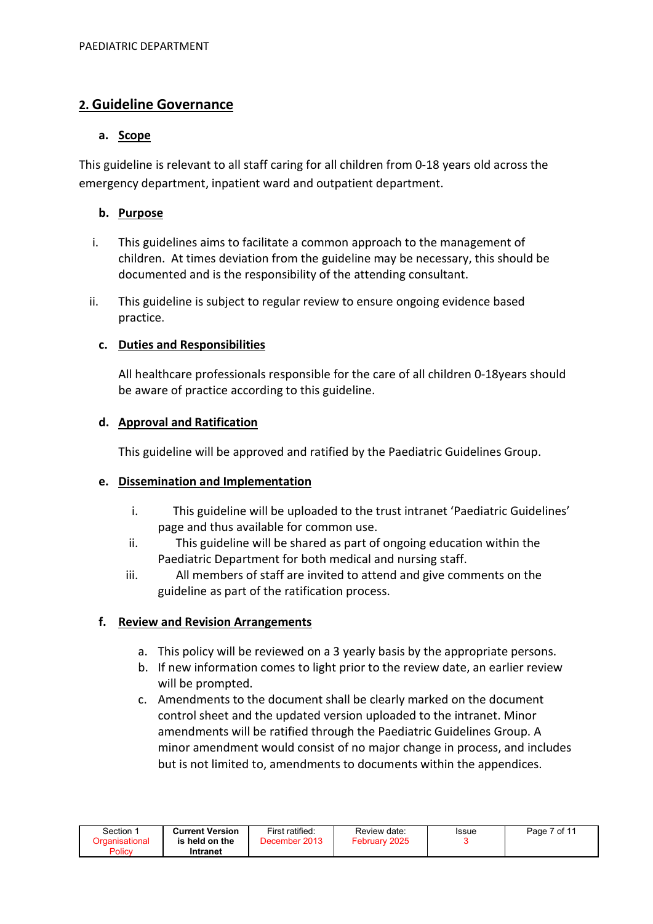## 2. Guideline Governance

## a. Scope

This guideline is relevant to all staff caring for all children from 0-18 years old across the emergency department, inpatient ward and outpatient department.

## b. Purpose

- i. This guidelines aims to facilitate a common approach to the management of children. At times deviation from the guideline may be necessary, this should be documented and is the responsibility of the attending consultant.
- ii. This guideline is subject to regular review to ensure ongoing evidence based practice.

## c. Duties and Responsibilities

All healthcare professionals responsible for the care of all children 0-18years should be aware of practice according to this guideline.

## d. Approval and Ratification

This guideline will be approved and ratified by the Paediatric Guidelines Group.

#### e. Dissemination and Implementation

- i. This guideline will be uploaded to the trust intranet 'Paediatric Guidelines' page and thus available for common use.
- ii. This guideline will be shared as part of ongoing education within the Paediatric Department for both medical and nursing staff.
- iii. All members of staff are invited to attend and give comments on the guideline as part of the ratification process.

## f. Review and Revision Arrangements

- a. This policy will be reviewed on a 3 yearly basis by the appropriate persons.
- b. If new information comes to light prior to the review date, an earlier review will be prompted.
- c. Amendments to the document shall be clearly marked on the document control sheet and the updated version uploaded to the intranet. Minor amendments will be ratified through the Paediatric Guidelines Group. A minor amendment would consist of no major change in process, and includes but is not limited to, amendments to documents within the appendices.

| Section 1      | <b>Current Version</b> | First ratified: | Review date:  | <b>Issue</b> | Page 7 of 11 |
|----------------|------------------------|-----------------|---------------|--------------|--------------|
| Organisational | is held on the         | December 2013   | February 2025 |              |              |
| Policy         | Intranet               |                 |               |              |              |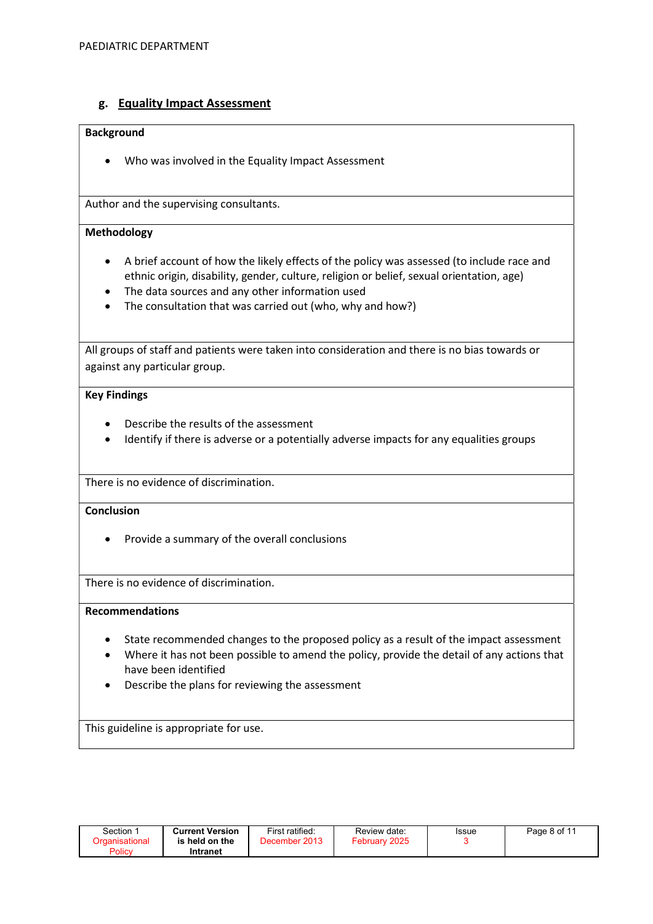#### g. Equality Impact Assessment

#### Background

Who was involved in the Equality Impact Assessment

Author and the supervising consultants.

#### Methodology

- A brief account of how the likely effects of the policy was assessed (to include race and ethnic origin, disability, gender, culture, religion or belief, sexual orientation, age)
- The data sources and any other information used
- The consultation that was carried out (who, why and how?)

All groups of staff and patients were taken into consideration and there is no bias towards or against any particular group.

#### Key Findings

- Describe the results of the assessment
- Identify if there is adverse or a potentially adverse impacts for any equalities groups

There is no evidence of discrimination.

#### **Conclusion**

• Provide a summary of the overall conclusions

There is no evidence of discrimination.

#### Recommendations

- State recommended changes to the proposed policy as a result of the impact assessment
- Where it has not been possible to amend the policy, provide the detail of any actions that have been identified
- Describe the plans for reviewing the assessment

This guideline is appropriate for use.

| Section ∵<br>Organisational<br>Policy | <b>Current Version</b><br>is held on the<br>Intranet | First ratified:<br>December 2013 | Review date:<br>February 2025 | Issue | Page 8 of 11 |
|---------------------------------------|------------------------------------------------------|----------------------------------|-------------------------------|-------|--------------|
|                                       |                                                      |                                  |                               |       |              |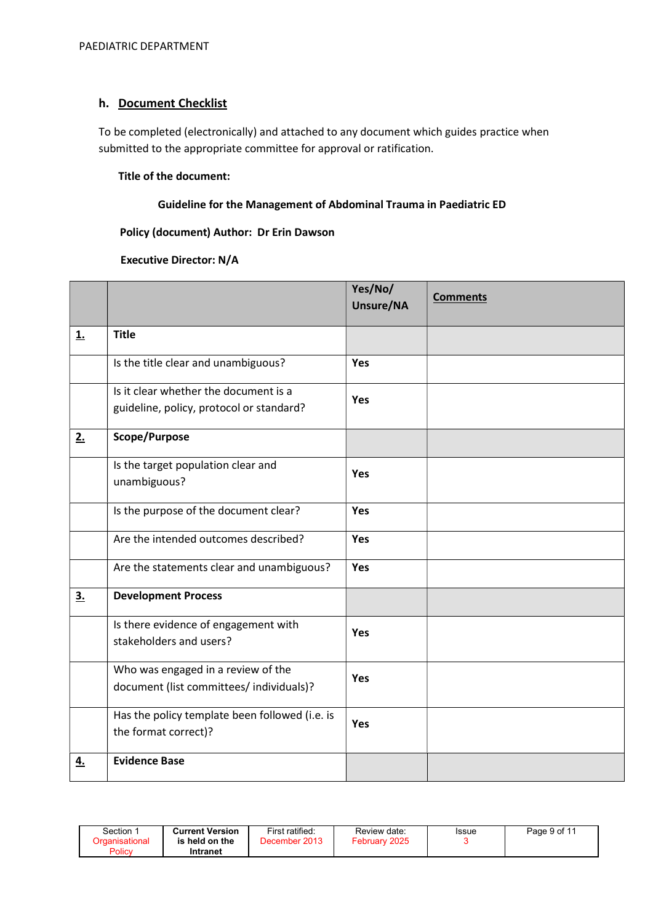## h. Document Checklist

To be completed (electronically) and attached to any document which guides practice when submitted to the appropriate committee for approval or ratification.

#### Title of the document:

#### Guideline for the Management of Abdominal Trauma in Paediatric ED

#### Policy (document) Author: Dr Erin Dawson

#### Executive Director: N/A

|           |                                                                                   | Yes/No/<br>Unsure/NA | <b>Comments</b> |
|-----------|-----------------------------------------------------------------------------------|----------------------|-----------------|
| <u>1.</u> | <b>Title</b>                                                                      |                      |                 |
|           | Is the title clear and unambiguous?                                               | <b>Yes</b>           |                 |
|           | Is it clear whether the document is a<br>guideline, policy, protocol or standard? | Yes                  |                 |
| 2.        | Scope/Purpose                                                                     |                      |                 |
|           | Is the target population clear and<br>unambiguous?                                | Yes                  |                 |
|           | Is the purpose of the document clear?                                             | Yes                  |                 |
|           | Are the intended outcomes described?                                              | <b>Yes</b>           |                 |
|           | Are the statements clear and unambiguous?                                         | <b>Yes</b>           |                 |
| 3.        | <b>Development Process</b>                                                        |                      |                 |
|           | Is there evidence of engagement with<br>stakeholders and users?                   | <b>Yes</b>           |                 |
|           | Who was engaged in a review of the<br>document (list committees/ individuals)?    | Yes                  |                 |
|           | Has the policy template been followed (i.e. is<br>the format correct)?            | Yes                  |                 |
| <u>4.</u> | <b>Evidence Base</b>                                                              |                      |                 |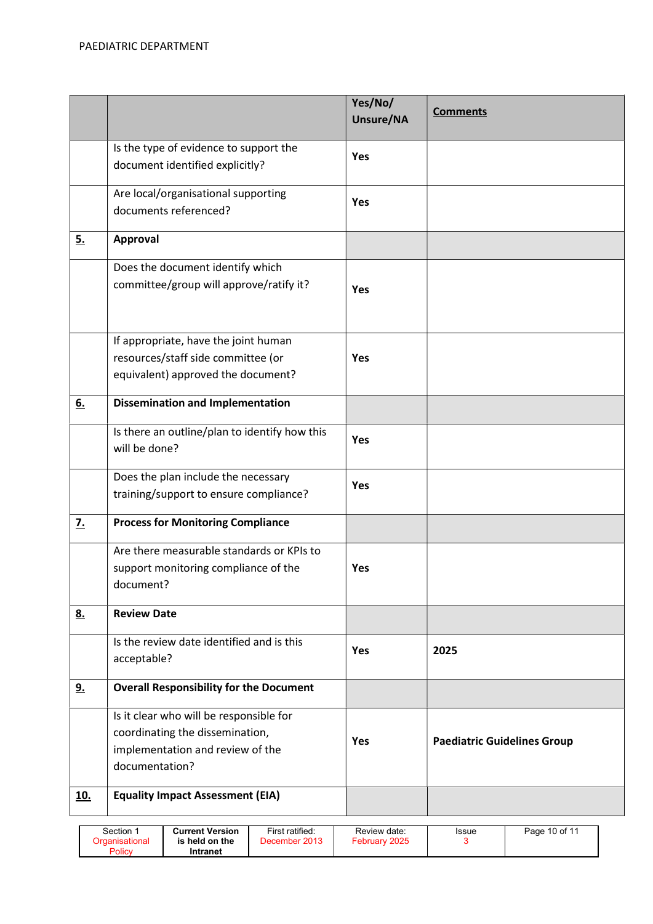|            |                                                    | Yes/No/   | <b>Comments</b>                    |
|------------|----------------------------------------------------|-----------|------------------------------------|
|            |                                                    | Unsure/NA |                                    |
|            | Is the type of evidence to support the             | Yes       |                                    |
|            | document identified explicitly?                    |           |                                    |
|            | Are local/organisational supporting                | Yes       |                                    |
|            | documents referenced?                              |           |                                    |
| <u>5.</u>  | <b>Approval</b>                                    |           |                                    |
|            | Does the document identify which                   |           |                                    |
|            | committee/group will approve/ratify it?            | Yes       |                                    |
|            | If appropriate, have the joint human               |           |                                    |
|            | resources/staff side committee (or                 | Yes       |                                    |
|            | equivalent) approved the document?                 |           |                                    |
| 6.         | <b>Dissemination and Implementation</b>            |           |                                    |
|            | Is there an outline/plan to identify how this      | Yes       |                                    |
|            | will be done?                                      |           |                                    |
|            | Does the plan include the necessary                | Yes       |                                    |
|            | training/support to ensure compliance?             |           |                                    |
| <u>7.</u>  | <b>Process for Monitoring Compliance</b>           |           |                                    |
|            | Are there measurable standards or KPIs to          |           |                                    |
|            | support monitoring compliance of the               | Yes       |                                    |
|            | document?                                          |           |                                    |
| 8.         | <b>Review Date</b>                                 |           |                                    |
|            | Is the review date identified and is this          | Yes       | 2025                               |
|            | acceptable?                                        |           |                                    |
| <u>9.</u>  | <b>Overall Responsibility for the Document</b>     |           |                                    |
|            | Is it clear who will be responsible for            |           |                                    |
|            | coordinating the dissemination,                    | Yes       | <b>Paediatric Guidelines Group</b> |
|            | implementation and review of the<br>documentation? |           |                                    |
|            |                                                    |           |                                    |
| <u>10.</u> | <b>Equality Impact Assessment (EIA)</b>            |           |                                    |

| Section<br><b>Current Version</b><br>is held on the<br><b>Praanisationa</b><br>Policy<br>Intranet | First ratified:<br>December 2013 | Review date:<br>2025<br>February | Issue | Page 10 of 11 |
|---------------------------------------------------------------------------------------------------|----------------------------------|----------------------------------|-------|---------------|
|---------------------------------------------------------------------------------------------------|----------------------------------|----------------------------------|-------|---------------|